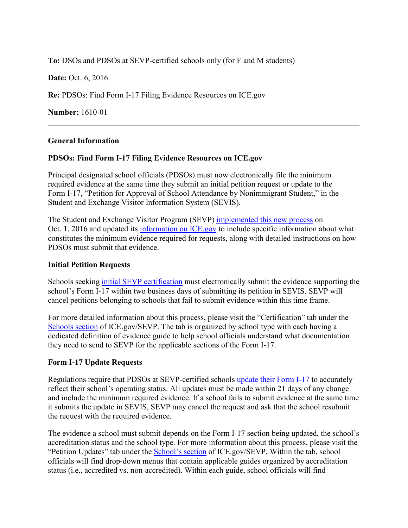**To:** DSOs and PDSOs at SEVP-certified schools only (for F and M students)

**Date: Oct. 6, 2016** 

**Re:** PDSOs: Find Form I-17 Filing Evidence Resources on ICE.gov

**Number:** 1610-01

#### **General Information**

### **PDSOs: Find Form I-17 Filing Evidence Resources on ICE.gov**

Principal designated school officials (PDSOs) must now electronically file the minimum required evidence at the same time they submit an initial petition request or update to the Form I-17, "Petition for Approval of School Attendance by Nonimmigrant Student," in the Student and Exchange Visitor Information System (SEVIS).

The Student and Exchange Visitor Program (SEVP) implemented [this new process](https://studyinthestates.dhs.gov/2016/09/sevp-to-implement-a-new-form-i-17-filing-evidence-process) on Oct. 1, 2016 and updated its [information on ICE.gov](https://www.ice.gov/sevis) to include specific information about what constitutes the minimum evidence required for requests, along with detailed instructions on how PDSOs must submit that evidence.

#### **Initial Petition Requests**

Schools seeking [initial SEVP certification](https://studyinthestates.dhs.gov/getting-started-with-sevp-certification) must electronically submit the evidence supporting the school's Form I-17 within two business days of submitting its petition in SEVIS. SEVP will cancel petitions belonging to schools that fail to submit evidence within this time frame.

For more detailed information about this process, please visit the "Certification" tab under the [Schools section](https://www.ice.gov/sevis/schools) of ICE.gov/SEVP. The tab is organized by school type with each having a dedicated definition of evidence guide to help school officials understand what documentation they need to send to SEVP for the applicable sections of the Form I-17.

#### **Form I-17 Update Requests**

Regulations require that PDSOs at SEVP-certified schools [update their Form I-17](https://studyinthestates.dhs.gov/updates-to-form-i-17) to accurately reflect their school's operating status. All updates must be made within 21 days of any change and include the minimum required evidence. If a school fails to submit evidence at the same time it submits the update in SEVIS, SEVP may cancel the request and ask that the school resubmit the request with the required evidence.

The evidence a school must submit depends on the Form I-17 section being updated, the school's accreditation status and the school type. For more information about this process, please visit the "Petition Updates" tab under the [School's section](https://www.ice.gov/sevis/schools) of ICE.gov/SEVP. Within the tab, school officials will find drop-down menus that contain applicable guides organized by accreditation status (i.e., accredited vs. non-accredited). Within each guide, school officials will find